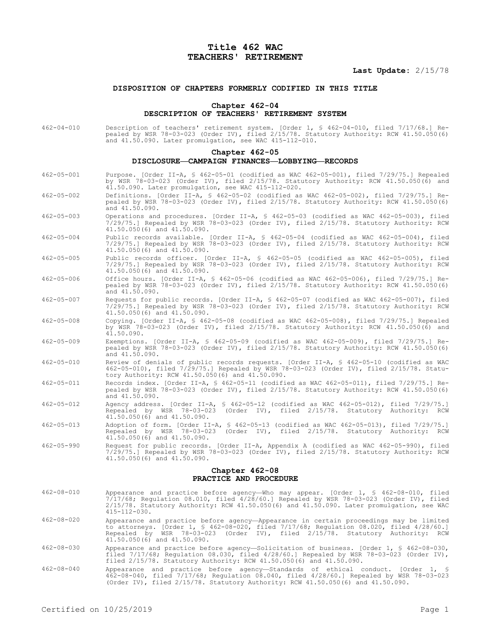# **Title 462 WAC TEACHERS' RETIREMENT**

## **Last Update:** 2/15/78

### **DISPOSITION OF CHAPTERS FORMERLY CODIFIED IN THIS TITLE**

#### **Chapter 462-04**

# **DESCRIPTION OF TEACHERS' RETIREMENT SYSTEM**

462-04-010 Description of teachers' retirement system. [Order 1, § 462-04-010, filed 7/17/68.] Repealed by WSR 78-03-023 (Order IV), filed 2/15/78. Statutory Authority: RCW 41.50.050(6) and 41.50.090. Later promulgation, see WAC 415-112-010.

#### **Chapter 462-05**

### **DISCLOSURE—CAMPAIGN FINANCES—LOBBYING—RECORDS**

- 462-05-001 Purpose. [Order II-A, § 462-05-01 (codified as WAC 462-05-001), filed 7/29/75.] Repealed by WSR 78-03-023 (Order IV), filed 2/15/78. Statutory Authority: RCW 41.50.050(6) and 41.50.090. Later promulgation, see WAC 415-112-020.
- 462-05-002 Definitions. [Order II-A, § 462-05-02 (codified as WAC 462-05-002), filed 7/29/75.] Repealed by WSR 78-03-023 (Order IV), filed 2/15/78. Statutory Authority: RCW 41.50.050(6) and 41.50.090.
- 462-05-003 Operations and procedures. [Order II-A, § 462-05-03 (codified as WAC 462-05-003), filed 7/29/75.] Repealed by WSR 78-03-023 (Order IV), filed 2/15/78. Statutory Authority: RCW 41.50.050(6) and 41.50.090.
- 462-05-004 Public records available. [Order II-A, § 462-05-04 (codified as WAC 462-05-004), filed 7/29/75.] Repealed by WSR 78-03-023 (Order IV), filed 2/15/78. Statutory Authority: RCW 41.50.050(6) and 41.50.090.
- 462-05-005 Public records officer. [Order II-A, § 462-05-05 (codified as WAC 462-05-005), filed 7/29/75.] Repealed by WSR 78-03-023 (Order IV), filed 2/15/78. Statutory Authority: RCW 41.50.050(6) and 41.50.090.
- 462-05-006 Office hours. [Order II-A, § 462-05-06 (codified as WAC 462-05-006), filed 7/29/75.] Repealed by WSR 78-03-023 (Order IV), filed 2/15/78. Statutory Authority: RCW 41.50.050(6) and 41.50.090.
- 462-05-007 Requests for public records. [Order II-A, § 462-05-07 (codified as WAC 462-05-007), filed 7/29/75.] Repealed by WSR 78-03-023 (Order IV), filed 2/15/78. Statutory Authority: RCW 41.50.050(6) and 41.50.090.
- 462-05-008 Copying. [Order II-A, § 462-05-08 (codified as WAC 462-05-008), filed 7/29/75.] Repealed by WSR 78-03-023 (Order IV), filed 2/15/78. Statutory Authority: RCW 41.50.050(6) and 41.50.090.
- 462-05-009 Exemptions. [Order II-A, § 462-05-09 (codified as WAC 462-05-009), filed 7/29/75.] Repealed by WSR 78-03-023 (Order IV), filed 2/15/78. Statutory Authority: RCW 41.50.050(6) and 41.50.090.
- 462-05-010 Review of denials of public records requests. [Order II-A, § 462-05-10 (codified as WAC 462-05-010), filed 7/29/75.] Repealed by WSR 78-03-023 (Order IV), filed 2/15/78. Statutory Authority: RCW 41.50.050(6) and 41.50.090.
- 462-05-011 Records index. [Order II-A, § 462-05-11 (codified as WAC 462-05-011), filed 7/29/75.] Repealed by WSR 78-03-023 (Order IV), filed 2/15/78. Statutory Authority: RCW 41.50.050(6) and 41.50.090.
- 462-05-012 Agency address. [Order II-A, § 462-05-12 (codified as WAC 462-05-012), filed 7/29/75.] Repealed by WSR 78-03-023 (Order IV), filed 2/15/78. Statutory Authority: RCW 41.50.050(6) and 41.50.090.
- 462-05-013 Adoption of form. [Order II-A, § 462-05-13 (codified as WAC 462-05-013), filed 7/29/75.] Repealed by WSR 78-03-023 (Order IV), filed 2/15/78. Statutory Authority: RCW 41.50.050(6) and 41.50.090.
- 462-05-990 Request for public records. [Order II-A, Appendix A (codified as WAC 462-05-990), filed 7/29/75.] Repealed by WSR 78-03-023 (Order IV), filed 2/15/78. Statutory Authority: RCW 41.50.050(6) and 41.50.090.

### **Chapter 462-08 PRACTICE AND PROCEDURE**

- 462-08-010 Appearance and practice before agency—Who may appear. [Order 1, § 462-08-010, filed 7/17/68; Regulation 08.010, filed 4/28/60.] Repealed by WSR 78-03-023 (Order IV), filed 2/15/78. Statutory Authority: RCW 41.50.050(6) and 41.50.090. Later promulgation, see WAC 415-112-030.
- 462-08-020 Appearance and practice before agency—Appearance in certain proceedings may be limited to attorneys. [Order 1, § 462-08-020, filed 7/17/68; Regulation 08.020, filed 4/28/60.] Repealed by WSR 78-03-023 (Order IV), filed 2/15/78. Statutory Authority: RCW 41.50.050(6) and 41.50.090.
- 462-08-030 Appearance and practice before agency—Solicitation of business. [Order 1, § 462-08-030, filed 7/17/68; Regulation 08.030, filed 4/28/60.] Repealed by WSR 78-03-023 (Order IV), filed 2/15/78. Statutory Authority: RCW 41.50.050(6) and 41.50.090.
- 462-08-040 Appearance and practice before agency—Standards of ethical conduct. [Order 1, § 462-08-040, filed 7/17/68; Regulation 08.040, filed 4/28/60.] Repealed by WSR 78-03-023 (Order IV), filed 2/15/78. Statutory Authority: RCW 41.50.050(6) and 41.50.090.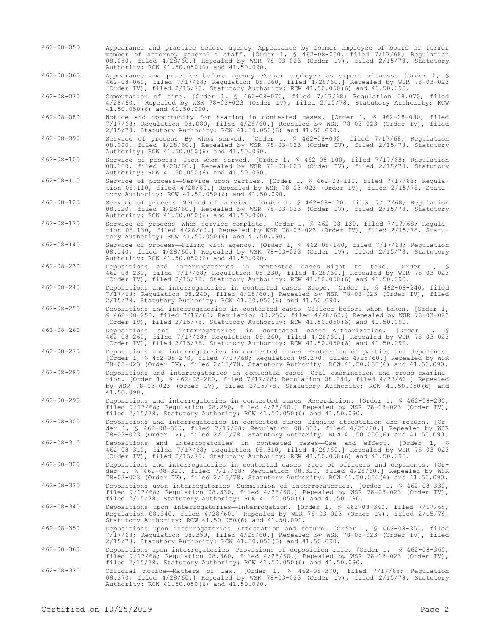- 462-08-050 Appearance and practice before agency—Appearance by former employee of board or former member of attorney general's staff. [Order 1, § 462-08-050, filed 7/17/68; Regulation 08.050, filed 4/28/60.] Repealed by WSR 78-03-023 (Order IV), filed 2/15/78. Statutory Authority: RCW 41.50.050(6) and 41.50.090.
- 462-08-060 Appearance and practice before agency—Former employee as expert witness. [Order 1, § 462-08-060, filed 7/17/68; Regulation 08.060, filed 4/28/60.] Repealed by WSR 78-03-023 (Order IV), filed 2/15/78. Statutory Authority: RCW 41.50.050(6) and 41.50.090.

462-08-070 Computation of time. [Order 1, § 462-08-070, filed 7/17/68; Regulation 08.070, filed 4/28/60.] Repealed by WSR 78-03-023 (Order IV), filed 2/15/78. Statutory Authority: RCW 41.50.050(6) and 41.50.090.

- 462-08-080 Notice and opportunity for hearing in contested cases. [Order 1, § 462-08-080, filed 7/17/68; Regulation 08.080, filed 4/28/60.] Repealed by WSR 78-03-023 (Order IV), filed 2/15/78. Statutory Authority: RCW 41.50.050(6) and 41.50.090.
- 462-08-090 Service of process—By whom served. [Order 1, § 462-08-090, filed 7/17/68; Regulation 08.090, filed 4/28/60.] Repealed by WSR 78-03-023 (Order IV), filed 2/15/78. Statutory Authority: RCW 41.50.050(6) and 41.50.090.
- 462-08-100 Service of process—Upon whom served. [Order 1, § 462-08-100, filed 7/17/68; Regulation 08.100, filed 4/28/60.] Repealed by WSR 78-03-023 (Order IV), filed 2/15/78. Statutory Authority: RCW 41.50.050(6) and 41.50.090.
- 462-08-110 Service of process—Service upon parties. [Order 1, § 462-08-110, filed 7/17/68; Regulation 08.110, filed 4/28/60.] Repealed by WSR 78-03-023 (Order IV), filed 2/15/78. Statutory Authority: RCW 41.50.050(6) and 41.50.090.
- 462-08-120 Service of process—Method of service. [Order 1, § 462-08-120, filed 7/17/68; Regulation 08.120, filed 4/28/60.] Repealed by WSR 78-03-023 (Order IV), filed 2/15/78. Statutory Authority: RCW 41.50.050(6) and 41.50.090.
- 462-08-130 Service of process—When service complete. [Order 1, § 462-08-130, filed 7/17/68; Regulation 08.130, filed 4/28/60.] Repealed by WSR 78-03-023 (Order IV), filed 2/15/78. Statutory Authority: RCW 41.50.050(6) and 41.50.090.
- 462-08-140 Service of process—Filing with agency. [Order 1, § 462-08-140, filed 7/17/68; Regulation 08.140, filed 4/28/60.] Repealed by WSR 78-03-023 (Order IV), filed 2/15/78. Statutory Authority: RCW 41.50.050(6) and 41.50.090.
- 462-08-230 Depositions and interrogatories in contested cases—Right to take. [Order 1, § 462-08-230, filed 7/17/68; Regulation 08.230, filed 4/28/60.] Repealed by WSR 78-03-023 (Order IV), filed 2/15/78. Statutory Authority: RCW 41.50.050(6) and 41.50.090.

462-08-240 Depositions and interrogatories in contested cases—Scope. [Order 1, § 462-08-240, filed 7/17/68; Regulation 08.240, filed 4/28/60.] Repealed by WSR 78-03-023 (Order IV), filed 2/15/78. Statutory Authority: RCW 41.50.050(6) and 41.50.090.

462-08-250 Depositions and interrogatories in contested cases—Officer before whom taken. [Order 1, § 462-08-250, filed 7/17/68; Regulation 08.250, filed 4/28/60.] Repealed by WSR 78-03-023 (Order IV), filed 2/15/78. Statutory Authority: RCW 41.50.050(6) and 41.50.090.

- 462-08-260 Depositions and interrogatories in contested cases—Authorization. [Order 1, § 462-08-260, filed 7/17/68; Regulation 08.260, filed 4/28/60.] Repealed by WSR 78-03-023 (Order IV), filed 2/15/78. Statutory Authority: RCW 41.50.050(6) and 41.50.090.
- 462-08-270 Depositions and interrogatories in contested cases—Protection of parties and deponents. [Order 1, § 462-08-270, filed 7/17/68; Regulation 08.270, filed 4/28/60.] Repealed by WSR 78-03-023 (Order IV), filed 2/15/78. Statutory Authority: RCW 41.50.050(6) and 41.50.090.
- 462-08-280 Depositions and interrogatories in contested cases—Oral examination and cross-examination. [Order 1, § 462-08-280, filed 7/17/68; Regulation 08.280, filed 4/28/60.] Repealed by WSR 78-03-023 (Order IV), filed 2/15/78. Statutory Authority: RCW 41.50.050(6) and 41.50.090.
- 462-08-290 Depositions and interrogatories in contested cases—Recordation. [Order 1, § 462-08-290, filed 7/17/68; Regulation 08.290, filed 4/28/60.] Repealed by WSR 78-03-023 (Order IV), filed 2/15/78. Statutory Authority: RCW 41.50.050(6) and 41.50.090.
- 462-08-300 Depositions and interrogatories in contested cases—Signing attestation and return. [Order 1, § 462-08-300, filed 7/17/68; Regulation 08.300, filed 4/28/60.] Repealed by WSR 78-03-023 (Order IV), filed 2/15/78. Statutory Authority: RCW 41.50.050(6) and 41.50.090.
- 462-08-310 Depositions and interrogatories in contested cases—Use and effect. [Order 1, § 462-08-310, filed 7/17/68; Regulation 08.310, filed 4/28/60.] Repealed by WSR 78-03-023 (Order IV), filed 2/15/78. Statutory Authority: RCW 41.50.050(6) and 41.50.090.

462-08-320 Depositions and interrogatories in contested cases—Fees of officers and deponents. [Order 1, § 462-08-320, filed 7/17/68; Regulation 08.320, filed 4/28/60.] Repealed by WSR 78-03-023 (Order IV), filed 2/15/78. Statutory Authority: RCW 41.50.050(6) and 41.50.090. 462-08-330 Depositions upon interrogatories—Submission of interrogatories. [Order 1, § 462-08-330,

filed 7/17/68; Regulation 08.330, filed 4/28/60.] Repealed by WSR 78-03-023 (Order IV), filed 2/15/78. Statutory Authority: RCW 41.50.050(6) and 41.50.090.

462-08-340 Depositions upon interrogatories—Interrogation. [Order 1, § 462-08-340, filed 7/17/68; Regulation 08.340, filed 4/28/60.] Repealed by WSR 78-03-023 (Order IV), filed 2/15/78. Statutory Authority: RCW 41.50.050(6) and 41.50.090.

462-08-350 Depositions upon interrogatories—Attestation and return. [Order 1, § 462-08-350, filed 7/17/68; Regulation 08.350, filed 4/28/60.] Repealed by WSR 78-03-023 (Order IV), filed 2/15/78. Statutory Authority: RCW 41.50.050(6) and 41.50.090.

462-08-360 Depositions upon interrogatories—Provisions of deposition rule. [Order 1, § 462-08-360, filed 7/17/68; Regulation 08.360, filed 4/28/60.] Repealed by WSR 78-03-023 (Order IV), filed 2/15/78. Statutory Authority: RCW 41.50.050(6) and 41.50.090.

462-08-370 Official notice—Matters of law. [Order 1, § 462-08-370, filed 7/17/68; Regulation 08.370, filed 4/28/60.] Repealed by WSR 78-03-023 (Order IV), filed 2/15/78. Statutory Authority: RCW 41.50.050(6) and 41.50.090.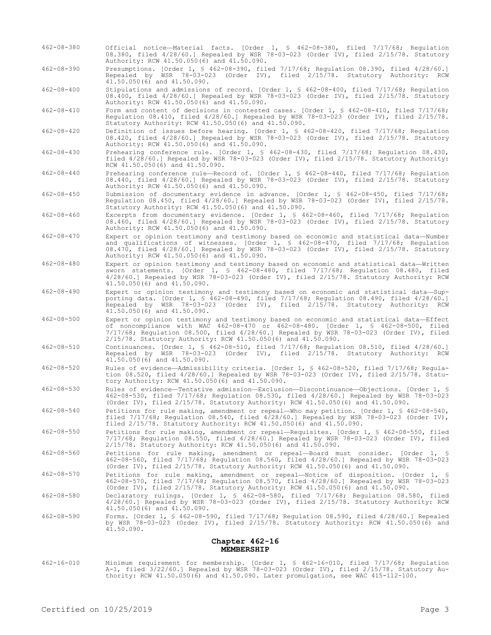- 462-08-380 Official notice—Material facts. [Order 1, § 462-08-380, filed 7/17/68; Regulation 08.380, filed 4/28/60.] Repealed by WSR 78-03-023 (Order IV), filed 2/15/78. Statutory Authority: RCW 41.50.050(6) and 41.50.090.
- 462-08-390 Presumptions. [Order 1, § 462-08-390, filed 7/17/68; Regulation 08.390, filed 4/28/60.] Repealed by WSR 78-03-023 (Order IV), filed 2/15/78. Statutory Authority: RCW 41.50.050(6) and 41.50.090.

462-08-400 Stipulations and admissions of record. [Order 1, § 462-08-400, filed 7/17/68; Regulation 08.400, filed 4/28/60.] Repealed by WSR 78-03-023 (Order IV), filed 2/15/78. Statutory Authority: RCW 41.50.050(6) and 41.50.090.

462-08-410 Form and content of decisions in contested cases. [Order 1, § 462-08-410, filed 7/17/68; Regulation 08.410, filed 4/28/60.] Repealed by WSR 78-03-023 (Order IV), filed 2/15/78. Statutory Authority: RCW 41.50.050(6) and 41.50.090.

462-08-420 Definition of issues before hearing. [Order 1, § 462-08-420, filed 7/17/68; Regulation 08.420, filed 4/28/60.] Repealed by WSR 78-03-023 (Order IV), filed 2/15/78. Statutory Authority: RCW 41.50.050(6) and 41.50.090.

462-08-430 Prehearing conference rule. [Order 1, § 462-08-430, filed 7/17/68; Regulation 08.430, filed 4/28/60.] Repealed by WSR 78-03-023 (Order IV), filed 2/15/78. Statutory Authority: RCW 41.50.050(6) and 41.50.090.

462-08-440 Prehearing conference rule—Record of. [Order 1, § 462-08-440, filed 7/17/68; Regulation 08.440, filed 4/28/60.] Repealed by WSR 78-03-023 (Order IV), filed 2/15/78. Statutory Authority: RCW 41.50.050(6) and 41.50.090.

462-08-450 Submission of documentary evidence in advance. [Order 1, § 462-08-450, filed 7/17/68; Regulation 08.450, filed 4/28/60.] Repealed by WSR 78-03-023 (Order IV), filed 2/15/78. Statutory Authority: RCW 41.50.050(6) and 41.50.090.

462-08-460 Excerpts from documentary evidence. [Order 1, § 462-08-460, filed 7/17/68; Regulation 08.460, filed 4/28/60.] Repealed by WSR 78-03-023 (Order IV), filed 2/15/78. Statutory Authority: RCW 41.50.050(6) and 41.50.090.

- 462-08-470 Expert or opinion testimony and testimony based on economic and statistical data—Number and qualifications of witnesses. [Order 1, § 462-08-470, filed 7/17/68; Regulation 08.470, filed 4/28/60.] Repealed by WSR 78-03-023 (Order IV), filed 2/15/78. Statutory Authority: RCW 41.50.050(6) and 41.50.090.
- 462-08-480 Expert or opinion testimony and testimony based on economic and statistical data—Written sworn statements. [Order 1, § 462-08-480, filed 7/17/68; Regulation 08.480, filed 4/28/60.] Repealed by WSR 78-03-023 (Order IV), filed 2/15/78. Statutory Authority: RCW 41.50.050(6) and 41.50.090.
- 462-08-490 Expert or opinion testimony and testimony based on economic and statistical data—Supporting data. [Order 1, § 462-08-490, filed 7/17/68; Regulation 08.490, filed 4/28/60.] Repealed by WSR 78-03-023 (Order IV), filed 2/15/78. Statutory Authority: RCW 41.50.050(6) and 41.50.090.
- 462-08-500 Expert or opinion testimony and testimony based on economic and statistical data—Effect of noncompliance with WAC 462-08-470 or 462-08-480. [Order 1, § 462-08-500, filed 7/17/68; Regulation 08.500, filed 4/28/60.] Repealed by WSR 78-03-023 (Order IV), filed 2/15/78. Statutory Authority: RCW 41.50.050(6) and 41.50.090.
- 462-08-510 Continuances. [Order 1, § 462-08-510, filed 7/17/68; Regulation 08.510, filed 4/28/60.] Repealed by WSR 78-03-023 (Order IV), filed 2/15/78. Statutory Authority: RCW 41.50.050(6) and 41.50.090.
- 462-08-520 Rules of evidence—Admissibility criteria. [Order 1, § 462-08-520, filed 7/17/68; Regulation 08.520, filed 4/28/60.] Repealed by WSR 78-03-023 (Order IV), filed 2/15/78. Statutory Authority: RCW 41.50.050(6) and 41.50.090.

462-08-530 Rules of evidence—Tentative admission—Exclusion—Discontinuance—Objections. [Order 1, § 462-08-530, filed 7/17/68; Regulation 08.530, filed 4/28/60.] Repealed by WSR 78-03-023 (Order IV), filed 2/15/78. Statutory Authority: RCW 41.50.050(6) and 41.50.090.

- 462-08-540 Petitions for rule making, amendment or repeal—Who may petition. [Order 1, § 462-08-540, filed  $7/17/68$ ; Regulation 08.540, filed  $4/28/60$ .] Repealed by WSR 78-03-023 (Order IV), filed 2/15/78. Statutory Authority: RCW 41.50.050(6) and 41.50.090.
- 462-08-550 Petitions for rule making, amendment or repeal—Requisites. [Order 1, § 462-08-550, filed 7/17/68; Regulation 08.550, filed 4/28/60.] Repealed by WSR 78-03-023 (Order IV), filed 2/15/78. Statutory Authority: RCW 41.50.050(6) and 41.50.090.
- 462-08-560 Petitions for rule making, amendment or repeal—Board must consider. [Order 1, § 462-08-560, filed 7/17/68; Regulation 08.560, filed 4/28/60.] Repealed by WSR 78-03-023 (Order IV), filed 2/15/78. Statutory Authority: RCW 41.50.050(6) and 41.50.090.
- 462-08-570 Petitions for rule making, amendment or repeal—Notice of disposition. [Order 1, § 462-08-570, filed 7/17/68; Regulation 08.570, filed 4/28/60.] Repealed by WSR 78-03-023 (Order IV), filed 2/15/78. Statutory Authority: RCW 41.50.050(6) and 41.50.090.
- 462-08-580 Declaratory rulings. [Order 1, § 462-08-580, filed 7/17/68; Regulation 08.580, filed 4/28/60.] Repealed by WSR 78-03-023 (Order IV), filed 2/15/78. Statutory Authority: RCW 41.50.050(6) and 41.50.090.
- 462-08-590 Forms. [Order 1, § 462-08-590, filed 7/17/68; Regulation 08.590, filed 4/28/60.] Repealed by WSR 78-03-023 (Order IV), filed 2/15/78. Statutory Authority: RCW 41.50.050(6) and by WSR 78.<br>41.50.090.

### **Chapter 462-16 MEMBERSHIP**

462-16-010 Minimum requirement for membership. [Order 1, § 462-16-010, filed 7/17/68; Regulation A-1, filed 3/22/60.] Repealed by WSR 78-03-023 (Order IV), filed 2/15/78. Statutory Authority: RCW 41.50.050(6) and 41.50.090. Later promulgation, see WAC 415-112-100.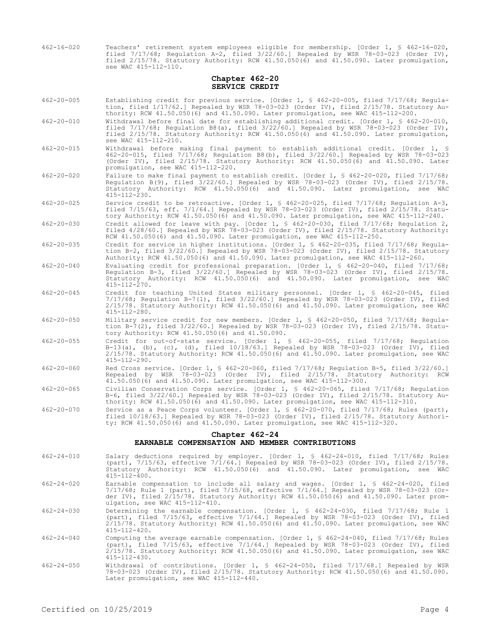| $462 - 16 - 020$ | Teachers' retirement system employees eligible for membership. [Order 1, § 462-16-020,    |
|------------------|-------------------------------------------------------------------------------------------|
|                  | filed $7/17/68$ ; Requlation A-2, filed $3/22/60$ . Repealed by WSR 78-03-023 (Order IV), |
|                  | filed 2/15/78. Statutory Authority: RCW 41.50.050(6) and 41.50.090. Later promulgation,   |
|                  | see WAC 415-112-110.                                                                      |

### **Chapter 462-20 SERVICE CREDIT**

- 462-20-005 Establishing credit for previous service. [Order 1, § 462-20-005, filed 7/17/68; Regulation, filed 1/17/62.] Repealed by WSR 78-03-023 (Order IV), filed 2/15/78. Statutory Authority: RCW 41.50.050(6) and 41.50.090. Later promulgation, see WAC 415-112-200.
- 462-20-010 Withdrawal before final date for establishing additional credit. [Order 1, § 462-20-010, filed  $7/17/68$ ; Regulation B8(a), filed  $3/22/60$ .] Repealed by WSR 78-03-023 (Order IV), filed 2/15/78. Statutory Authority: RCW 41.50.050(6) and 41.50.090. Later promulgation, see WAC 415-112-210.
- 462-20-015 Withdrawal before making final payment to establish additional credit. [Order 1, § 462-20-015, filed 7/17/68; Regulation B8(b), filed 3/22/60.] Repealed by WSR 78-03-023 (Order IV), filed 2/15/78. Statutory Authority: RCW 41.50.050(6) and 41.50.090. Later promulgation, see WAC 415-112-220.
- 462-20-020 Failure to make final payment to establish credit. [Order 1, § 462-20-020, filed 7/17/68; Regulation B(9), filed 3/22/60.] Repealed by WSR 78-03-023 (Order IV), filed 2/15/78. Statutory Authority: RCW 41.50.050(6) and 41.50.090. Later promulgation, see WAC 415-112-230.
- 462-20-025 Service credit to be retroactive. [Order 1, § 462-20-025, filed 7/17/68; Regulation A-3, filed 7/15/63, eff. 7/1/64.] Repealed by WSR 78-03-023 (Order IV), filed 2/15/78. Statutory Authority: RCW 41.50.050(6) and 41.50.090. Later promulgation, see WAC 415-112-240.
- 462-20-030 Credit allowed for leave with pay. [Order 1, § 462-20-030, filed 7/17/68; Regulation 2, filed 4/28/60.] Repealed by WSR 78-03-023 (Order IV), filed 2/15/78. Statutory Authority: RCW 41.50.050(6) and 41.50.090. Later promulgation, see WAC 415-112-250.
- 462-20-035 Credit for service in higher institutions. [Order 1, § 462-20-035, filed 7/17/68; Regulation B-2, filed 3/22/60.] Repealed by WSR 78-03-023 (Order IV), filed 2/15/78. Statutory Authority: RCW 41.50.050(6) and 41.50.090. Later promulgation, see WAC 415-112-260.
- 462-20-040 Evaluating credit for professional preparation. [Order 1, § 462-20-040, filed 7/17/68; Regulation B-3, filed 3/22/60.] Repealed by WSR 78-03-023 (Order IV), filed 2/15/78. Statutory Authority: RCW 41.50.050(6) and 41.50.090. Later promulgation, see WAC  $415 - 112 - 270$ .
- 462-20-045 Credit for teaching United States military personnel. [Order 1, § 462-20-045, filed 7/17/68; Regulation B-7(1), filed 3/22/60.] Repealed by WSR 78-03-023 (Order IV), filed 2/15/78. Statutory Authority: RCW 41.50.050(6) and 41.50.090. Later promulgation, see WAC 415-112-280.
- 462-20-050 Military service credit for new members. [Order 1, § 462-20-050, filed 7/17/68; Regulation B-7(2), filed 3/22/60.] Repealed by WSR 78-03-023 (Order IV), filed 2/15/78. Statutory Authority: RCW 41.50.050(6) and 41.50.090.
- 462-20-055 Credit for out-of-state service. [Order 1, § 462-20-055, filed 7/17/68; Regulation B-13(a), (b), (c), (d), filed 10/18/63.] Repealed by WSR 78-03-023 (Order IV), filed 2/15/78. Statutory Authority: RCW 41.50.050(6) and 41.50.090. Later promulgation, see WAC 415-112-290.
- 462-20-060 Red Cross service. [Order 1, § 462-20-060, filed 7/17/68; Regulation B-5, filed 3/22/60.] Repealed by WSR 78-03-023 (Order IV), filed 2/15/78. Statutory Authority: RCW 41.50.050(6) and 41.50.090. Later promulgation, see WAC 415-112-300.
- 462-20-065 Civilian Conservation Corps service. [Order 1, § 462-20-065, filed 7/17/68; Regulation B-6, filed 3/22/60.] Repealed by WSR 78-03-023 (Order IV), filed 2/15/78. Statutory Authority: RCW 41.50.050(6) and 41.50.090. Later promulgation, see WAC 415-112-310.
- 462-20-070 Service as a Peace Corps volunteer. [Order 1, § 462-20-070, filed 7/17/68; Rules (part), filed 10/18/63.] Repealed by WSR 78-03-023 (Order IV), filed 2/15/78. Statutory Authority: RCW 41.50.050(6) and 41.50.090. Later promulgation, see WAC 415-112-320.

# **Chapter 462-24**

# **EARNABLE COMPENSATION AND MEMBER CONTRIBUTIONS**

- 462-24-010 Salary deductions required by employer. [Order 1, § 462-24-010, filed 7/17/68; Rules (part), 7/15/63, effective 7/1/64.] Repealed by WSR 78-03-023 (Order IV), filed 2/15/78. Statutory Authority: RCW 41.50.050(6) and 41.50.090. Later promulgation, see WAC 415-112-400.
- 462-24-020 Earnable compensation to include all salary and wages. [Order 1, § 462-24-020, filed 7/17/68; Rule 1 (part), filed 7/15/68, effective 7/1/64.] Repealed by WSR 78-03-023 (Order IV), filed 2/15/78. Statutory Authority: RCW 41.50.050(6) and 41.50.090. Later promulgation, see WAC 415-112-410.
- 462-24-030 Determining the earnable compensation. [Order 1, § 462-24-030, filed 7/17/68; Rule 1 (part), filed 7/15/63, effective 7/1/64.] Repealed by WSR 78-03-023 (Order IV), filed 2/15/78. Statutory Authority: RCW 41.50.050(6) and 41.50.090. Later promulgation, see WAC 415-112-420.
- 462-24-040 Computing the average earnable compensation. [Order 1, § 462-24-040, filed 7/17/68; Rules (part), filed 7/15/63, effective 7/1/64.] Repealed by WSR 78-03-023 (Order IV), filed 2/15/78. Statutory Authority: RCW 41.50.050(6) and 41.50.090. Later promulgation, see WAC 415-112-430.
- 462-24-050 Withdrawal of contributions. [Order 1, § 462-24-050, filed 7/17/68.] Repealed by WSR 78-03-023 (Order IV), filed 2/15/78. Statutory Authority: RCW 41.50.050(6) and 41.50.090. Later promulgation, see WAC 415-112-440.